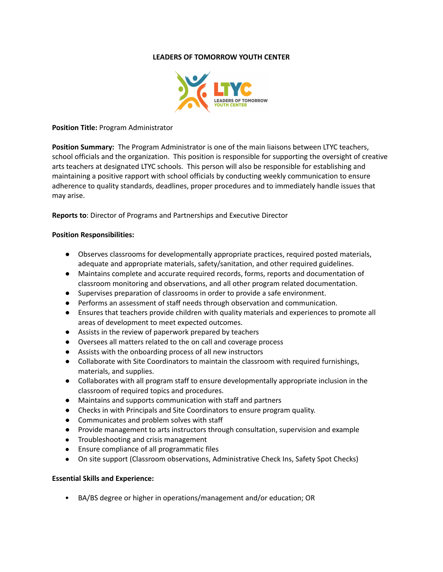# **LEADERS OF TOMORROW YOUTH CENTER**



### **Position Title:** Program Administrator

**Position Summary:** The Program Administrator is one of the main liaisons between LTYC teachers, school officials and the organization. This position is responsible for supporting the oversight of creative arts teachers at designated LTYC schools. This person will also be responsible for establishing and maintaining a positive rapport with school officials by conducting weekly communication to ensure adherence to quality standards, deadlines, proper procedures and to immediately handle issues that may arise.

**Reports to**: Director of Programs and Partnerships and Executive Director

### **Position Responsibilities:**

- Observes classrooms for developmentally appropriate practices, required posted materials, adequate and appropriate materials, safety/sanitation, and other required guidelines.
- Maintains complete and accurate required records, forms, reports and documentation of classroom monitoring and observations, and all other program related documentation.
- Supervises preparation of classrooms in order to provide a safe environment.
- Performs an assessment of staff needs through observation and communication.
- Ensures that teachers provide children with quality materials and experiences to promote all areas of development to meet expected outcomes.
- Assists in the review of paperwork prepared by teachers
- Oversees all matters related to the on call and coverage process
- Assists with the onboarding process of all new instructors
- Collaborate with Site Coordinators to maintain the classroom with required furnishings, materials, and supplies.
- Collaborates with all program staff to ensure developmentally appropriate inclusion in the classroom of required topics and procedures.
- Maintains and supports communication with staff and partners
- Checks in with Principals and Site Coordinators to ensure program quality.
- Communicates and problem solves with staff
- Provide management to arts instructors through consultation, supervision and example
- Troubleshooting and crisis management
- Ensure compliance of all programmatic files
- On site support (Classroom observations, Administrative Check Ins, Safety Spot Checks)

# **Essential Skills and Experience:**

• BA/BS degree or higher in operations/management and/or education; OR